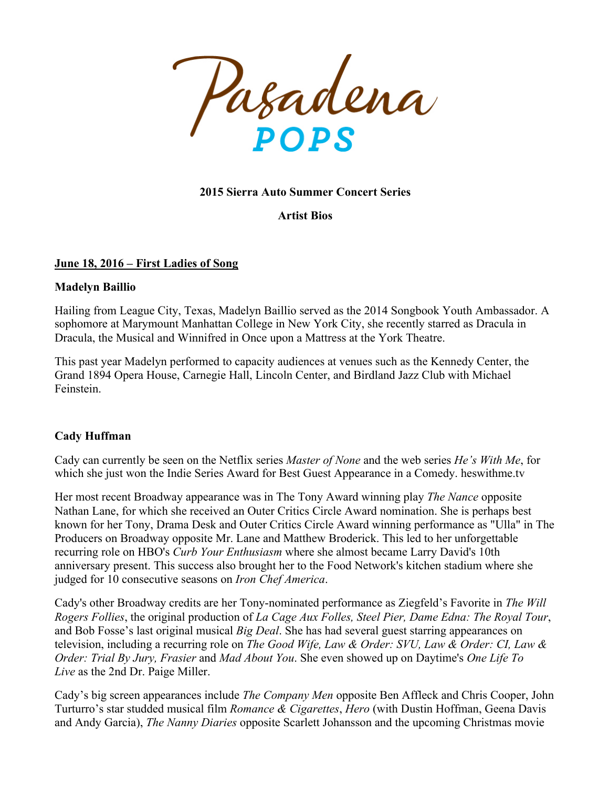

## **2015 Sierra Auto Summer Concert Series**

## **Artist Bios**

#### **June 18, 2016 – First Ladies of Song**

#### **Madelyn Baillio**

Hailing from League City, Texas, Madelyn Baillio served as the 2014 Songbook Youth Ambassador. A sophomore at Marymount Manhattan College in New York City, she recently starred as Dracula in Dracula, the Musical and Winnifred in Once upon a Mattress at the York Theatre.

This past year Madelyn performed to capacity audiences at venues such as the Kennedy Center, the Grand 1894 Opera House, Carnegie Hall, Lincoln Center, and Birdland Jazz Club with Michael Feinstein.

#### **Cady Huffman**

Cady can currently be seen on the Netflix series *Master of None* and the web series *He's With Me*, for which she just won the Indie Series Award for Best Guest Appearance in a Comedy. heswithme.tv

Her most recent Broadway appearance was in The Tony Award winning play *The Nance* opposite Nathan Lane, for which she received an Outer Critics Circle Award nomination. She is perhaps best known for her Tony, Drama Desk and Outer Critics Circle Award winning performance as "Ulla" in The Producers on Broadway opposite Mr. Lane and Matthew Broderick. This led to her unforgettable recurring role on HBO's *Curb Your Enthusiasm* where she almost became Larry David's 10th anniversary present. This success also brought her to the Food Network's kitchen stadium where she judged for 10 consecutive seasons on *Iron Chef America*.

Cady's other Broadway credits are her Tony-nominated performance as Ziegfeld's Favorite in *The Will Rogers Follies*, the original production of *La Cage Aux Folles, Steel Pier, Dame Edna: The Royal Tour*, and Bob Fosse's last original musical *Big Deal*. She has had several guest starring appearances on television, including a recurring role on *The Good Wife, Law & Order: SVU, Law & Order: CI, Law & Order: Trial By Jury, Frasier* and *Mad About You*. She even showed up on Daytime's *One Life To Live* as the 2nd Dr. Paige Miller.

Cady's big screen appearances include *The Company Men* opposite Ben Affleck and Chris Cooper, John Turturro's star studded musical film *Romance & Cigarettes*, *Hero* (with Dustin Hoffman, Geena Davis and Andy Garcia), *The Nanny Diaries* opposite Scarlett Johansson and the upcoming Christmas movie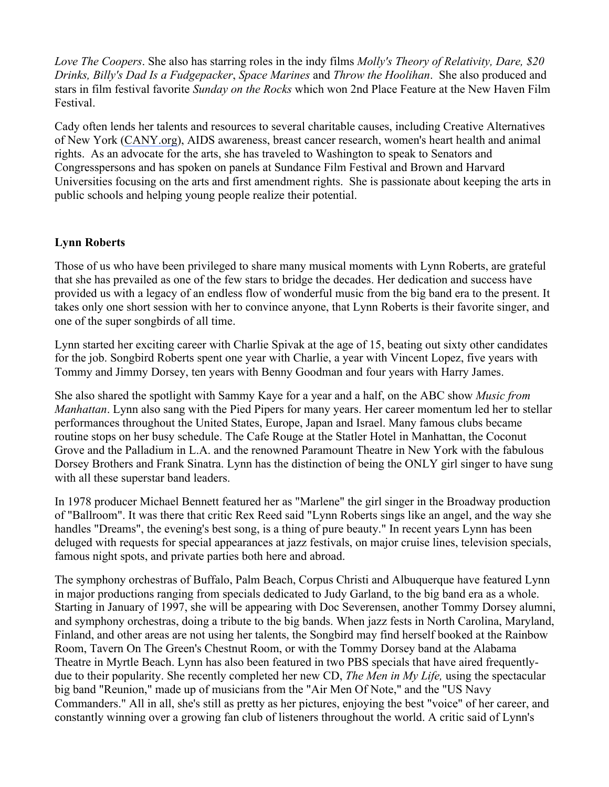*Love The Coopers*. She also has starring roles in the indy films *Molly's Theory of Relativity, Dare, \$20 Drinks, Billy's Dad Is a Fudgepacker*, *Space Marines* and *Throw the Hoolihan*. She also produced and stars in film festival favorite *Sunday on the Rocks* which won 2nd Place Feature at the New Haven Film Festival.

Cady often lends her talents and resources to several charitable causes, including Creative Alternatives of New York (CANY.org), AIDS awareness, breast cancer research, women's heart health and animal rights. As an advocate for the arts, she has traveled to Washington to speak to Senators and Congresspersons and has spoken on panels at Sundance Film Festival and Brown and Harvard Universities focusing on the arts and first amendment rights. She is passionate about keeping the arts in public schools and helping young people realize their potential.

#### **Lynn Roberts**

Those of us who have been privileged to share many musical moments with Lynn Roberts, are grateful that she has prevailed as one of the few stars to bridge the decades. Her dedication and success have provided us with a legacy of an endless flow of wonderful music from the big band era to the present. It takes only one short session with her to convince anyone, that Lynn Roberts is their favorite singer, and one of the super songbirds of all time.

Lynn started her exciting career with Charlie Spivak at the age of 15, beating out sixty other candidates for the job. Songbird Roberts spent one year with Charlie, a year with Vincent Lopez, five years with Tommy and Jimmy Dorsey, ten years with Benny Goodman and four years with Harry James.

She also shared the spotlight with Sammy Kaye for a year and a half, on the ABC show *Music from Manhattan*. Lynn also sang with the Pied Pipers for many years. Her career momentum led her to stellar performances throughout the United States, Europe, Japan and Israel. Many famous clubs became routine stops on her busy schedule. The Cafe Rouge at the Statler Hotel in Manhattan, the Coconut Grove and the Palladium in L.A. and the renowned Paramount Theatre in New York with the fabulous Dorsey Brothers and Frank Sinatra. Lynn has the distinction of being the ONLY girl singer to have sung with all these superstar band leaders.

In 1978 producer Michael Bennett featured her as "Marlene" the girl singer in the Broadway production of "Ballroom". It was there that critic Rex Reed said "Lynn Roberts sings like an angel, and the way she handles "Dreams", the evening's best song, is a thing of pure beauty." In recent years Lynn has been deluged with requests for special appearances at jazz festivals, on major cruise lines, television specials, famous night spots, and private parties both here and abroad.

The symphony orchestras of Buffalo, Palm Beach, Corpus Christi and Albuquerque have featured Lynn in major productions ranging from specials dedicated to Judy Garland, to the big band era as a whole. Starting in January of 1997, she will be appearing with Doc Severensen, another Tommy Dorsey alumni, and symphony orchestras, doing a tribute to the big bands. When jazz fests in North Carolina, Maryland, Finland, and other areas are not using her talents, the Songbird may find herself booked at the Rainbow Room, Tavern On The Green's Chestnut Room, or with the Tommy Dorsey band at the Alabama Theatre in Myrtle Beach. Lynn has also been featured in two PBS specials that have aired frequentlydue to their popularity. She recently completed her new CD, *The Men in My Life,* using the spectacular big band "Reunion," made up of musicians from the "Air Men Of Note," and the "US Navy Commanders." All in all, she's still as pretty as her pictures, enjoying the best "voice" of her career, and constantly winning over a growing fan club of listeners throughout the world. A critic said of Lynn's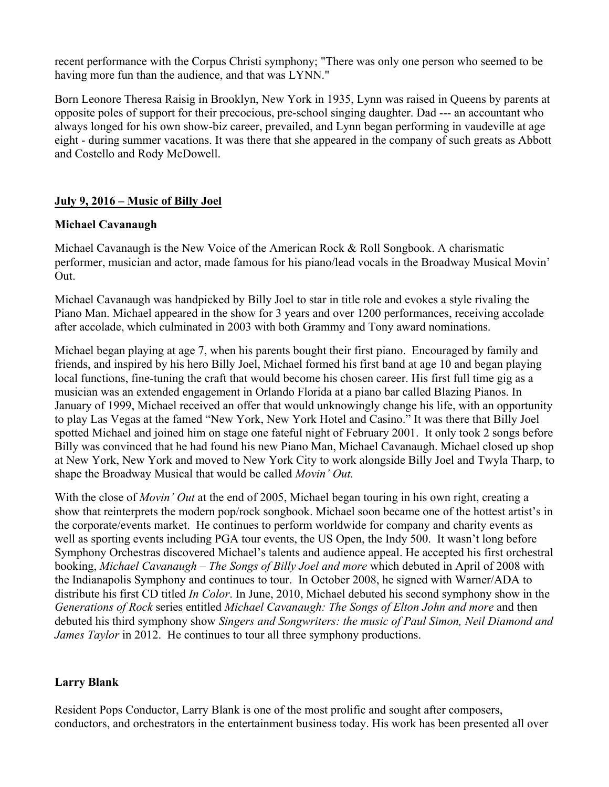recent performance with the Corpus Christi symphony; "There was only one person who seemed to be having more fun than the audience, and that was LYNN."

Born Leonore Theresa Raisig in Brooklyn, New York in 1935, Lynn was raised in Queens by parents at opposite poles of support for their precocious, pre-school singing daughter. Dad --- an accountant who always longed for his own show-biz career, prevailed, and Lynn began performing in vaudeville at age eight - during summer vacations. It was there that she appeared in the company of such greats as Abbott and Costello and Rody McDowell.

# **July 9, 2016 – Music of Billy Joel**

#### **Michael Cavanaugh**

Michael Cavanaugh is the New Voice of the American Rock & Roll Songbook. A charismatic performer, musician and actor, made famous for his piano/lead vocals in the Broadway Musical Movin' Out.

Michael Cavanaugh was handpicked by Billy Joel to star in title role and evokes a style rivaling the Piano Man. Michael appeared in the show for 3 years and over 1200 performances, receiving accolade after accolade, which culminated in 2003 with both Grammy and Tony award nominations.

Michael began playing at age 7, when his parents bought their first piano. Encouraged by family and friends, and inspired by his hero Billy Joel, Michael formed his first band at age 10 and began playing local functions, fine-tuning the craft that would become his chosen career. His first full time gig as a musician was an extended engagement in Orlando Florida at a piano bar called Blazing Pianos. In January of 1999, Michael received an offer that would unknowingly change his life, with an opportunity to play Las Vegas at the famed "New York, New York Hotel and Casino." It was there that Billy Joel spotted Michael and joined him on stage one fateful night of February 2001. It only took 2 songs before Billy was convinced that he had found his new Piano Man, Michael Cavanaugh. Michael closed up shop at New York, New York and moved to New York City to work alongside Billy Joel and Twyla Tharp, to shape the Broadway Musical that would be called *Movin' Out.*

With the close of *Movin' Out* at the end of 2005, Michael began touring in his own right, creating a show that reinterprets the modern pop/rock songbook. Michael soon became one of the hottest artist's in the corporate/events market. He continues to perform worldwide for company and charity events as well as sporting events including PGA tour events, the US Open, the Indy 500. It wasn't long before Symphony Orchestras discovered Michael's talents and audience appeal. He accepted his first orchestral booking, *Michael Cavanaugh – The Songs of Billy Joel and more* which debuted in April of 2008 with the Indianapolis Symphony and continues to tour. In October 2008, he signed with Warner/ADA to distribute his first CD titled *In Color*. In June, 2010, Michael debuted his second symphony show in the *Generations of Rock* series entitled *Michael Cavanaugh: The Songs of Elton John and more* and then debuted his third symphony show *Singers and Songwriters: the music of Paul Simon, Neil Diamond and James Taylor* in 2012. He continues to tour all three symphony productions.

## **Larry Blank**

Resident Pops Conductor, Larry Blank is one of the most prolific and sought after composers, conductors, and orchestrators in the entertainment business today. His work has been presented all over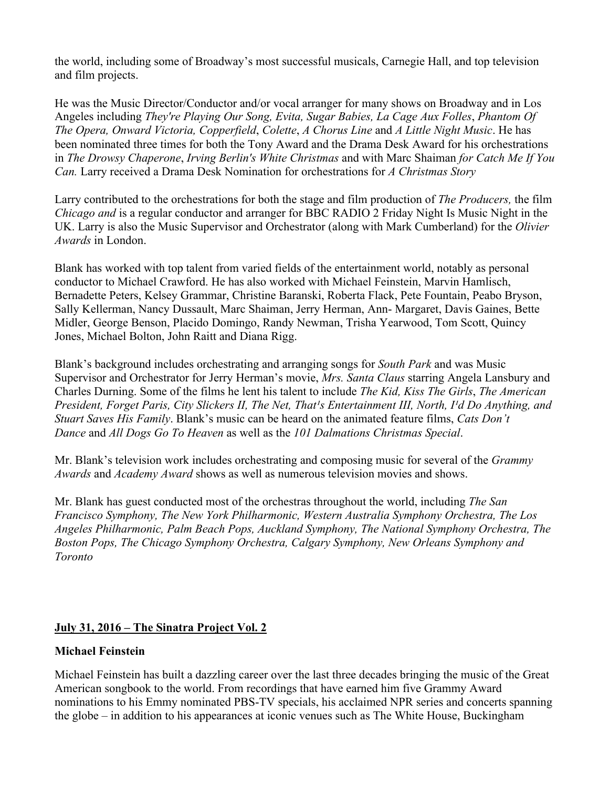the world, including some of Broadway's most successful musicals, Carnegie Hall, and top television and film projects.

He was the Music Director/Conductor and/or vocal arranger for many shows on Broadway and in Los Angeles including *They're Playing Our Song, Evita, Sugar Babies, La Cage Aux Folles*, *Phantom Of The Opera, Onward Victoria, Copperfield*, *Colette*, *A Chorus Line* and *A Little Night Music*. He has been nominated three times for both the Tony Award and the Drama Desk Award for his orchestrations in *The Drowsy Chaperone*, *Irving Berlin's White Christmas* and with Marc Shaiman *for Catch Me If You Can.* Larry received a Drama Desk Nomination for orchestrations for *A Christmas Story*

Larry contributed to the orchestrations for both the stage and film production of *The Producers,* the film *Chicago and* is a regular conductor and arranger for BBC RADIO 2 Friday Night Is Music Night in the UK. Larry is also the Music Supervisor and Orchestrator (along with Mark Cumberland) for the *Olivier Awards* in London.

Blank has worked with top talent from varied fields of the entertainment world, notably as personal conductor to Michael Crawford. He has also worked with Michael Feinstein, Marvin Hamlisch, Bernadette Peters, Kelsey Grammar, Christine Baranski, Roberta Flack, Pete Fountain, Peabo Bryson, Sally Kellerman, Nancy Dussault, Marc Shaiman, Jerry Herman, Ann- Margaret, Davis Gaines, Bette Midler, George Benson, Placido Domingo, Randy Newman, Trisha Yearwood, Tom Scott, Quincy Jones, Michael Bolton, John Raitt and Diana Rigg.

Blank's background includes orchestrating and arranging songs for *South Park* and was Music Supervisor and Orchestrator for Jerry Herman's movie, *Mrs. Santa Claus* starring Angela Lansbury and Charles Durning. Some of the films he lent his talent to include *The Kid, Kiss The Girls*, *The American President, Forget Paris, City Slickers II, The Net, That<sup><i>I*</sup>s Entertainment III, North, I<sup>*I*</sup>d Do Anything, and *Stuart Saves His Family*. Blank's music can be heard on the animated feature films, *Cats Don't Dance* and *All Dogs Go To Heaven* as well as the *101 Dalmations Christmas Special*.

Mr. Blank's television work includes orchestrating and composing music for several of the *Grammy Awards* and *Academy Award* shows as well as numerous television movies and shows.

Mr. Blank has guest conducted most of the orchestras throughout the world, including *The San Francisco Symphony, The New York Philharmonic, Western Australia Symphony Orchestra, The Los Angeles Philharmonic, Palm Beach Pops, Auckland Symphony, The National Symphony Orchestra, The Boston Pops, The Chicago Symphony Orchestra, Calgary Symphony, New Orleans Symphony and Toronto* 

# **July 31, 2016 – The Sinatra Project Vol. 2**

## **Michael Feinstein**

Michael Feinstein has built a dazzling career over the last three decades bringing the music of the Great American songbook to the world. From recordings that have earned him five Grammy Award nominations to his Emmy nominated PBS-TV specials, his acclaimed NPR series and concerts spanning the globe – in addition to his appearances at iconic venues such as The White House, Buckingham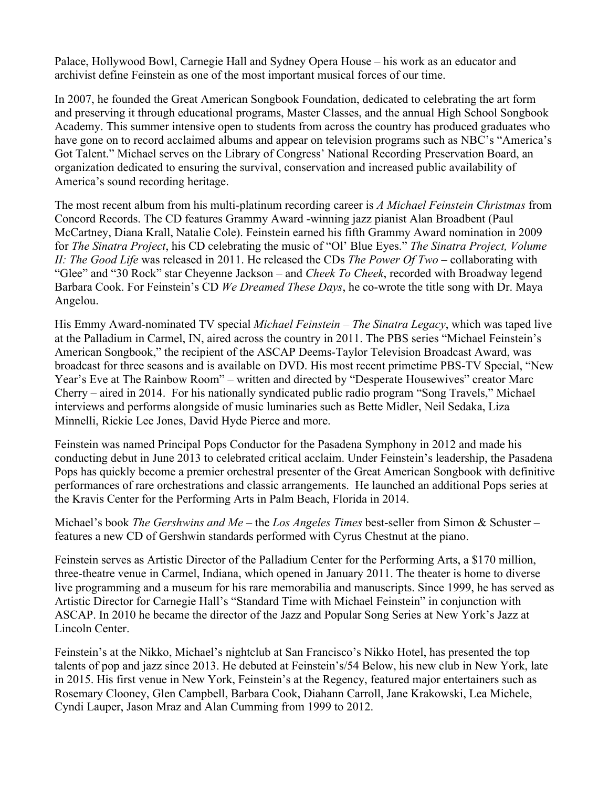Palace, Hollywood Bowl, Carnegie Hall and Sydney Opera House – his work as an educator and archivist define Feinstein as one of the most important musical forces of our time.

In 2007, he founded the Great American Songbook Foundation, dedicated to celebrating the art form and preserving it through educational programs, Master Classes, and the annual High School Songbook Academy. This summer intensive open to students from across the country has produced graduates who have gone on to record acclaimed albums and appear on television programs such as NBC's "America's Got Talent." Michael serves on the Library of Congress' National Recording Preservation Board, an organization dedicated to ensuring the survival, conservation and increased public availability of America's sound recording heritage.

The most recent album from his multi-platinum recording career is *A Michael Feinstein Christmas* from Concord Records. The CD features Grammy Award -winning jazz pianist Alan Broadbent (Paul McCartney, Diana Krall, Natalie Cole). Feinstein earned his fifth Grammy Award nomination in 2009 for *The Sinatra Project*, his CD celebrating the music of "Ol' Blue Eyes." *The Sinatra Project, Volume II: The Good Life* was released in 2011. He released the CDs *The Power Of Two* – collaborating with "Glee" and "30 Rock" star Cheyenne Jackson – and *Cheek To Cheek*, recorded with Broadway legend Barbara Cook. For Feinstein's CD *We Dreamed These Days*, he co-wrote the title song with Dr. Maya Angelou.

His Emmy Award-nominated TV special *Michael Feinstein – The Sinatra Legacy*, which was taped live at the Palladium in Carmel, IN, aired across the country in 2011. The PBS series "Michael Feinstein's American Songbook," the recipient of the ASCAP Deems-Taylor Television Broadcast Award, was broadcast for three seasons and is available on DVD. His most recent primetime PBS-TV Special, "New Year's Eve at The Rainbow Room" *–* written and directed by "Desperate Housewives" creator Marc Cherry *–* aired in 2014. For his nationally syndicated public radio program "Song Travels," Michael interviews and performs alongside of music luminaries such as Bette Midler, Neil Sedaka, Liza Minnelli, Rickie Lee Jones, David Hyde Pierce and more.

Feinstein was named Principal Pops Conductor for the Pasadena Symphony in 2012 and made his conducting debut in June 2013 to celebrated critical acclaim. Under Feinstein's leadership, the Pasadena Pops has quickly become a premier orchestral presenter of the Great American Songbook with definitive performances of rare orchestrations and classic arrangements. He launched an additional Pops series at the Kravis Center for the Performing Arts in Palm Beach, Florida in 2014.

Michael's book *The Gershwins and Me* – the *Los Angeles Times* best-seller from Simon & Schuster – features a new CD of Gershwin standards performed with Cyrus Chestnut at the piano.

Feinstein serves as Artistic Director of the Palladium Center for the Performing Arts, a \$170 million, three-theatre venue in Carmel, Indiana, which opened in January 2011. The theater is home to diverse live programming and a museum for his rare memorabilia and manuscripts. Since 1999, he has served as Artistic Director for Carnegie Hall's "Standard Time with Michael Feinstein" in conjunction with ASCAP. In 2010 he became the director of the Jazz and Popular Song Series at New York's Jazz at Lincoln Center.

Feinstein's at the Nikko, Michael's nightclub at San Francisco's Nikko Hotel, has presented the top talents of pop and jazz since 2013. He debuted at Feinstein's/54 Below, his new club in New York, late in 2015. His first venue in New York, Feinstein's at the Regency, featured major entertainers such as Rosemary Clooney, Glen Campbell, Barbara Cook, Diahann Carroll, Jane Krakowski, Lea Michele, Cyndi Lauper, Jason Mraz and Alan Cumming from 1999 to 2012.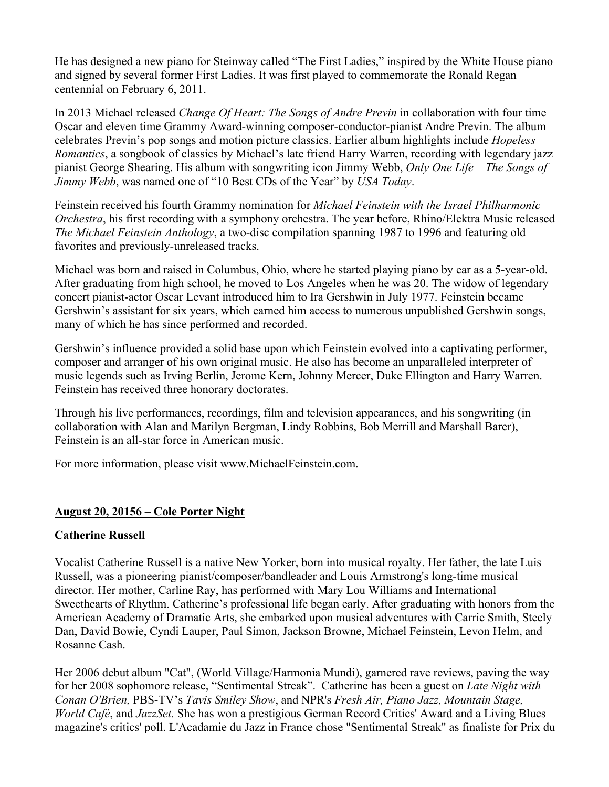He has designed a new piano for Steinway called "The First Ladies," inspired by the White House piano and signed by several former First Ladies. It was first played to commemorate the Ronald Regan centennial on February 6, 2011.

In 2013 Michael released *Change Of Heart: The Songs of Andre Previn* in collaboration with four time Oscar and eleven time Grammy Award-winning composer-conductor-pianist Andre Previn. The album celebrates Previn's pop songs and motion picture classics. Earlier album highlights include *Hopeless Romantics*, a songbook of classics by Michael's late friend Harry Warren, recording with legendary jazz pianist George Shearing. His album with songwriting icon Jimmy Webb, *Only One Life – The Songs of Jimmy Webb*, was named one of "10 Best CDs of the Year" by *USA Today*.

Feinstein received his fourth Grammy nomination for *Michael Feinstein with the Israel Philharmonic Orchestra*, his first recording with a symphony orchestra. The year before, Rhino/Elektra Music released *The Michael Feinstein Anthology*, a two-disc compilation spanning 1987 to 1996 and featuring old favorites and previously-unreleased tracks.

Michael was born and raised in Columbus, Ohio, where he started playing piano by ear as a 5-year-old. After graduating from high school, he moved to Los Angeles when he was 20. The widow of legendary concert pianist-actor Oscar Levant introduced him to Ira Gershwin in July 1977. Feinstein became Gershwin's assistant for six years, which earned him access to numerous unpublished Gershwin songs, many of which he has since performed and recorded.

Gershwin's influence provided a solid base upon which Feinstein evolved into a captivating performer, composer and arranger of his own original music. He also has become an unparalleled interpreter of music legends such as Irving Berlin, Jerome Kern, Johnny Mercer, Duke Ellington and Harry Warren. Feinstein has received three honorary doctorates.

Through his live performances, recordings, film and television appearances, and his songwriting (in collaboration with Alan and Marilyn Bergman, Lindy Robbins, Bob Merrill and Marshall Barer), Feinstein is an all-star force in American music.

For more information, please visit www.MichaelFeinstein.com.

# **August 20, 20156 – Cole Porter Night**

## **Catherine Russell**

Vocalist Catherine Russell is a native New Yorker, born into musical royalty. Her father, the late Luis Russell, was a pioneering pianist/composer/bandleader and Louis Armstrong's long-time musical director. Her mother, Carline Ray, has performed with Mary Lou Williams and International Sweethearts of Rhythm. Catherine's professional life began early. After graduating with honors from the American Academy of Dramatic Arts, she embarked upon musical adventures with Carrie Smith, Steely Dan, David Bowie, Cyndi Lauper, Paul Simon, Jackson Browne, Michael Feinstein, Levon Helm, and Rosanne Cash.

Her 2006 debut album "Cat", (World Village/Harmonia Mundi), garnered rave reviews, paving the way for her 2008 sophomore release, "Sentimental Streak". Catherine has been a guest on *Late Night with Conan O'Brien,* PBS-TV's *Tavis Smiley Show*, and NPR's *Fresh Air, Piano Jazz, Mountain Stage, World Café*, and *JazzSet.* She has won a prestigious German Record Critics' Award and a Living Blues magazine's critics' poll. L'Acadamie du Jazz in France chose "Sentimental Streak" as finaliste for Prix du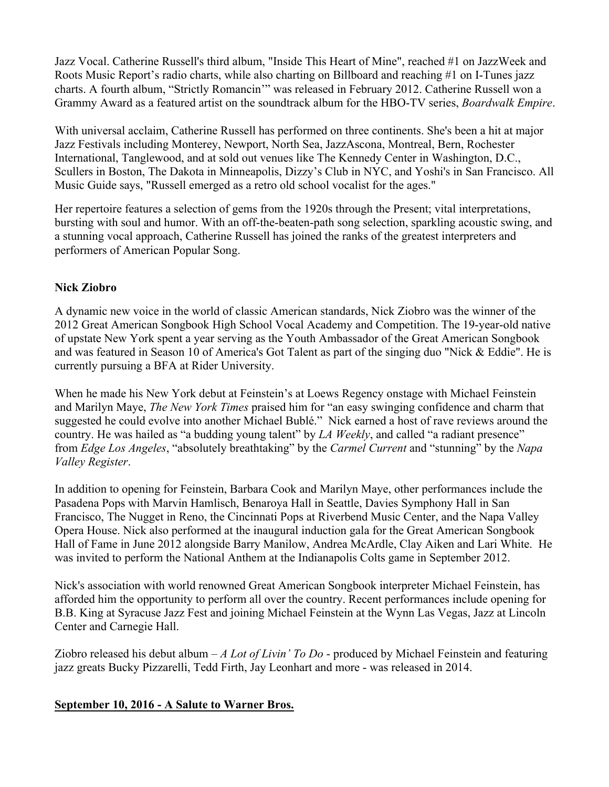Jazz Vocal. Catherine Russell's third album, "Inside This Heart of Mine", reached #1 on JazzWeek and Roots Music Report's radio charts, while also charting on Billboard and reaching #1 on I-Tunes jazz charts. A fourth album, "Strictly Romancin'" was released in February 2012. Catherine Russell won a Grammy Award as a featured artist on the soundtrack album for the HBO-TV series, *Boardwalk Empire*.

With universal acclaim, Catherine Russell has performed on three continents. She's been a hit at major Jazz Festivals including Monterey, Newport, North Sea, JazzAscona, Montreal, Bern, Rochester International, Tanglewood, and at sold out venues like The Kennedy Center in Washington, D.C., Scullers in Boston, The Dakota in Minneapolis, Dizzy's Club in NYC, and Yoshi's in San Francisco. All Music Guide says, "Russell emerged as a retro old school vocalist for the ages."

Her repertoire features a selection of gems from the 1920s through the Present; vital interpretations, bursting with soul and humor. With an off-the-beaten-path song selection, sparkling acoustic swing, and a stunning vocal approach, Catherine Russell has joined the ranks of the greatest interpreters and performers of American Popular Song.

# **Nick Ziobro**

A dynamic new voice in the world of classic American standards, Nick Ziobro was the winner of the 2012 Great American Songbook High School Vocal Academy and Competition. The 19-year-old native of upstate New York spent a year serving as the Youth Ambassador of the Great American Songbook and was featured in Season 10 of America's Got Talent as part of the singing duo "Nick & Eddie". He is currently pursuing a BFA at Rider University.

When he made his New York debut at Feinstein's at Loews Regency onstage with Michael Feinstein and Marilyn Maye, *The New York Times* praised him for "an easy swinging confidence and charm that suggested he could evolve into another Michael Bublé." Nick earned a host of rave reviews around the country. He was hailed as "a budding young talent" by *LA Weekly*, and called "a radiant presence" from *Edge Los Angeles*, "absolutely breathtaking" by the *Carmel Current* and "stunning" by the *Napa Valley Register*.

In addition to opening for Feinstein, Barbara Cook and Marilyn Maye, other performances include the Pasadena Pops with Marvin Hamlisch, Benaroya Hall in Seattle, Davies Symphony Hall in San Francisco, The Nugget in Reno, the Cincinnati Pops at Riverbend Music Center, and the Napa Valley Opera House. Nick also performed at the inaugural induction gala for the Great American Songbook Hall of Fame in June 2012 alongside Barry Manilow, Andrea McArdle, Clay Aiken and Lari White. He was invited to perform the National Anthem at the Indianapolis Colts game in September 2012.

Nick's association with world renowned Great American Songbook interpreter Michael Feinstein, has afforded him the opportunity to perform all over the country. Recent performances include opening for B.B. King at Syracuse Jazz Fest and joining Michael Feinstein at the Wynn Las Vegas, Jazz at Lincoln Center and Carnegie Hall.

Ziobro released his debut album – *A Lot of Livin' To Do* - produced by Michael Feinstein and featuring jazz greats Bucky Pizzarelli, Tedd Firth, Jay Leonhart and more - was released in 2014.

## **September 10, 2016 - A Salute to Warner Bros.**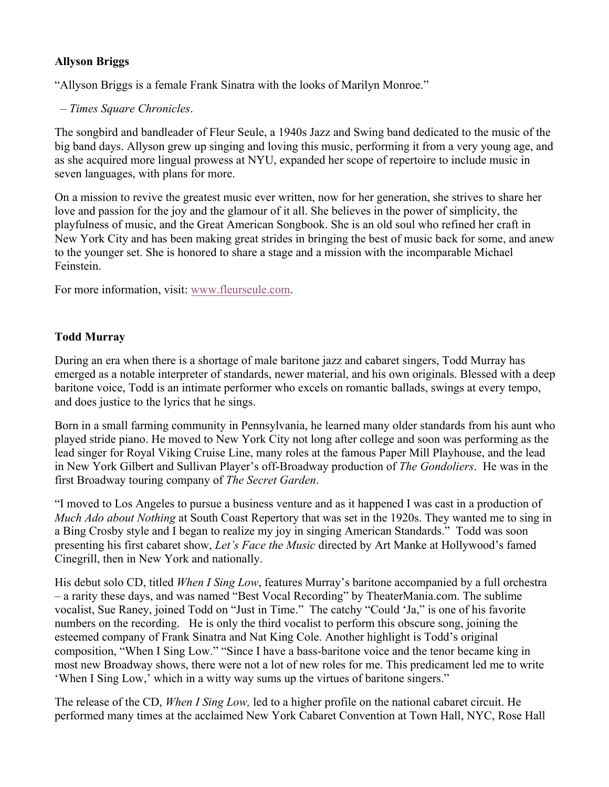# **Allyson Briggs**

"Allyson Briggs is a female Frank Sinatra with the looks of Marilyn Monroe."

– *Times Square Chronicles*.

The songbird and bandleader of Fleur Seule, a 1940s Jazz and Swing band dedicated to the music of the big band days. Allyson grew up singing and loving this music, performing it from a very young age, and as she acquired more lingual prowess at NYU, expanded her scope of repertoire to include music in seven languages, with plans for more.

On a mission to revive the greatest music ever written, now for her generation, she strives to share her love and passion for the joy and the glamour of it all. She believes in the power of simplicity, the playfulness of music, and the Great American Songbook. She is an old soul who refined her craft in New York City and has been making great strides in bringing the best of music back for some, and anew to the younger set. She is honored to share a stage and a mission with the incomparable Michael Feinstein.

For more information, visit: www.fleurseule.com.

## **Todd Murray**

During an era when there is a shortage of male baritone jazz and cabaret singers, Todd Murray has emerged as a notable interpreter of standards, newer material, and his own originals. Blessed with a deep baritone voice, Todd is an intimate performer who excels on romantic ballads, swings at every tempo, and does justice to the lyrics that he sings.

Born in a small farming community in Pennsylvania, he learned many older standards from his aunt who played stride piano. He moved to New York City not long after college and soon was performing as the lead singer for Royal Viking Cruise Line, many roles at the famous Paper Mill Playhouse, and the lead in New York Gilbert and Sullivan Player's off-Broadway production of *The Gondoliers*. He was in the first Broadway touring company of *The Secret Garden*.

"I moved to Los Angeles to pursue a business venture and as it happened I was cast in a production of *Much Ado about Nothing* at South Coast Repertory that was set in the 1920s. They wanted me to sing in a Bing Crosby style and I began to realize my joy in singing American Standards." Todd was soon presenting his first cabaret show, *Let's Face the Music* directed by Art Manke at Hollywood's famed Cinegrill, then in New York and nationally.

His debut solo CD, titled *When I Sing Low*, features Murray's baritone accompanied by a full orchestra – a rarity these days, and was named "Best Vocal Recording" by TheaterMania.com. The sublime vocalist, Sue Raney, joined Todd on "Just in Time." The catchy "Could 'Ja," is one of his favorite numbers on the recording. He is only the third vocalist to perform this obscure song, joining the esteemed company of Frank Sinatra and Nat King Cole. Another highlight is Todd's original composition, "When I Sing Low." "Since I have a bass-baritone voice and the tenor became king in most new Broadway shows, there were not a lot of new roles for me. This predicament led me to write 'When I Sing Low,' which in a witty way sums up the virtues of baritone singers."

The release of the CD, *When I Sing Low,* led to a higher profile on the national cabaret circuit. He performed many times at the acclaimed New York Cabaret Convention at Town Hall, NYC, Rose Hall